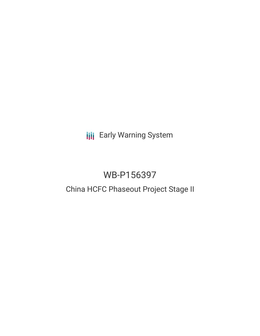**III** Early Warning System

# WB-P156397

## China HCFC Phaseout Project Stage II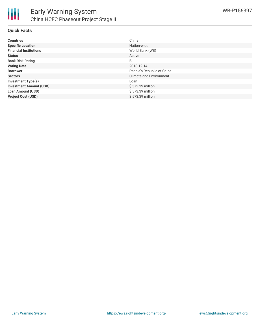

#### **Quick Facts**

| <b>Countries</b>               | China                      |
|--------------------------------|----------------------------|
| <b>Specific Location</b>       | Nation-wide                |
| <b>Financial Institutions</b>  | World Bank (WB)            |
| <b>Status</b>                  | Active                     |
| <b>Bank Risk Rating</b>        | B                          |
| <b>Voting Date</b>             | 2018-12-14                 |
| <b>Borrower</b>                | People's Republic of China |
| <b>Sectors</b>                 | Climate and Environment    |
| <b>Investment Type(s)</b>      | Loan                       |
| <b>Investment Amount (USD)</b> | \$573.39 million           |
| <b>Loan Amount (USD)</b>       | \$573.39 million           |
| <b>Project Cost (USD)</b>      | \$573.39 million           |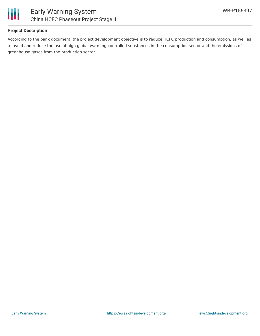

#### **Project Description**

According to the bank document, the project development objective is to reduce HCFC production and consumption, as well as to avoid and reduce the use of high global warming controlled substances in the consumption sector and the emissions of greenhouse gases from the production sector.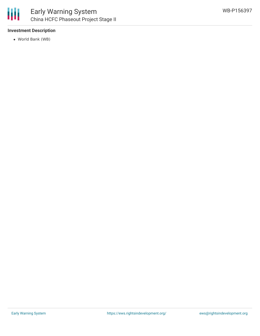

#### **Investment Description**

World Bank (WB)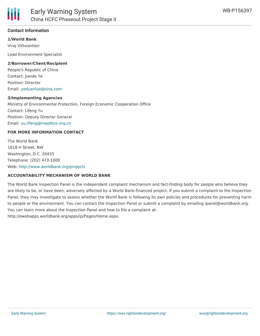

#### **Contact Information**

**1/World Bank** Viraj Vithoontien

Lead Environment Specialist

#### **2/Borrower/Client/Recipient**

People's Republic of China Contact: Jiande Ye Position: Director Email: [yeduanluo@sina.com](mailto:yeduanluo@sina.com)

#### **3/Implementing Agencies**

Ministry of Environmental Protection, Foreign Economic Cooperation Office Contact: Lifeng Yu Position: Deputy Director General Email: [yu.lifeng@mepfeco.org.cn](mailto:yu.lifeng@mepfeco.org.cn)

#### **FOR MORE INFORMATION CONTACT**

The World Bank 1818 H Street, NW Washington, D.C. 20433 Telephone: (202) 473-1000 Web: <http://www.worldbank.org/projects>

#### **ACCOUNTABILITY MECHANISM OF WORLD BANK**

The World Bank Inspection Panel is the independent complaint mechanism and fact-finding body for people who believe they are likely to be, or have been, adversely affected by a World Bank-financed project. If you submit a complaint to the Inspection Panel, they may investigate to assess whether the World Bank is following its own policies and procedures for preventing harm to people or the environment. You can contact the Inspection Panel or submit a complaint by emailing ipanel@worldbank.org. You can learn more about the Inspection Panel and how to file a complaint at: http://ewebapps.worldbank.org/apps/ip/Pages/Home.aspx.